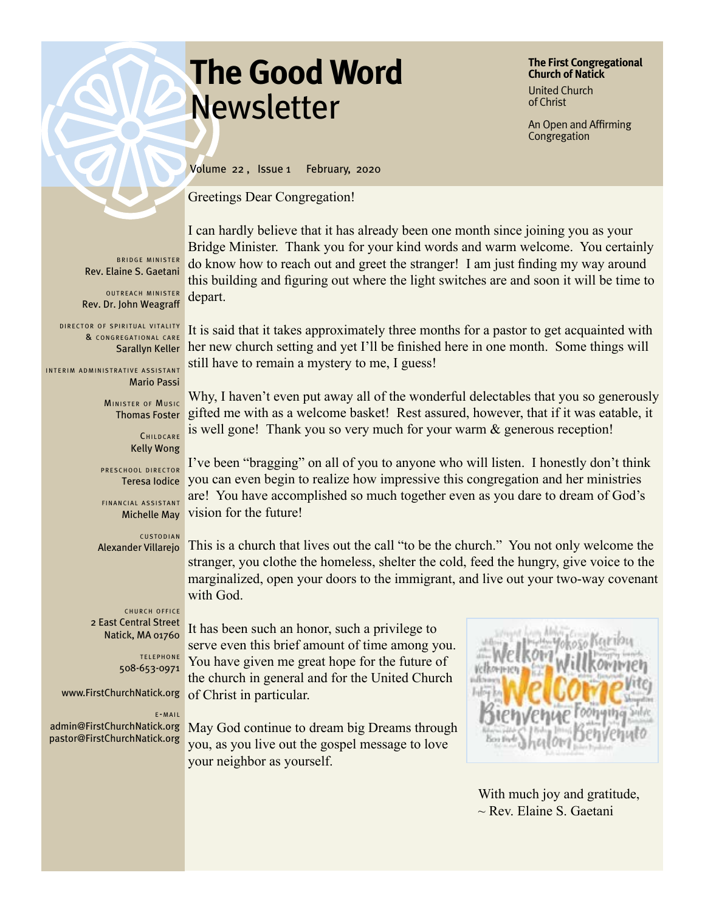# **The Good Word Newsletter**

**The First Congregational Church of Natick** United Church of Christ

An Open and Affirming Congregation

BRIDGE MINISTER Rev. Elaine S. Gaetani

OUTREACH MINISTER Rev. Dr. John Weagraff

DIRECTOR OF SPIRITUAL VITALITY & CONGREGATIONAL CARE

INTERIM ADMINISTRATIVE ASSISTANT Mario Passi

> MINISTER OF MUSIC Thomas Foster

> > CHILDCARE Kelly Wong

PRESCHOOL DIRECTOR Teresa Iodice

FINANCIAL ASSISTANT Michelle May

**CUSTODIAN** Alexander Villarejo

CHURCH OFFICE 2 East Central Street Natick, MA 01760

> TELEPHONE 508-653-0971

www.FirstChurchNatick.org

e - m a i l

admin@FirstChurchNatick.org pastor@FirstChurchNatick.org

Volume 22 , Issue 1 February, 2020

Greetings Dear Congregation!

I can hardly believe that it has already been one month since joining you as your Bridge Minister. Thank you for your kind words and warm welcome. You certainly do know how to reach out and greet the stranger! I am just finding my way around this building and figuring out where the light switches are and soon it will be time to depart.

Sarallyn Keller her new church setting and yet I'll be finished here in one month. Some things will It is said that it takes approximately three months for a pastor to get acquainted with still have to remain a mystery to me, I guess!

> Why, I haven't even put away all of the wonderful delectables that you so generously gifted me with as a welcome basket! Rest assured, however, that if it was eatable, it is well gone! Thank you so very much for your warm & generous reception!

I've been "bragging" on all of you to anyone who will listen. I honestly don't think you can even begin to realize how impressive this congregation and her ministries are! You have accomplished so much together even as you dare to dream of God's vision for the future!

This is a church that lives out the call "to be the church." You not only welcome the stranger, you clothe the homeless, shelter the cold, feed the hungry, give voice to the marginalized, open your doors to the immigrant, and live out your two-way covenant with God.

It has been such an honor, such a privilege to serve even this brief amount of time among you. You have given me great hope for the future of the church in general and for the United Church of Christ in particular.

May God continue to dream big Dreams through you, as you live out the gospel message to love your neighbor as yourself.



 With much joy and gratitude,  $\sim$  Rev. Elaine S. Gaetani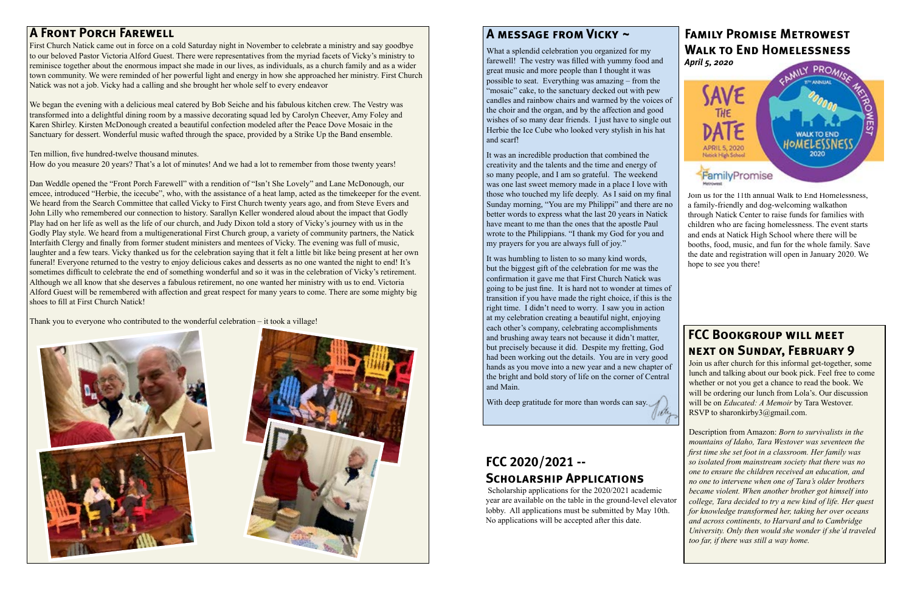### **A Front Porch Farewell**

First Church Natick came out in force on a cold Saturday night in November to celebrate a ministry and say goodbye to our beloved Pastor Victoria Alford Guest. There were representatives from the myriad facets of Vicky's ministry to reminisce together about the enormous impact she made in our lives, as individuals, as a church family and as a wider town community. We were reminded of her powerful light and energy in how she approached her ministry. First Church Natick was not a job. Vicky had a calling and she brought her whole self to every endeavor

We began the evening with a delicious meal catered by Bob Seiche and his fabulous kitchen crew. The Vestry was transformed into a delightful dining room by a massive decorating squad led by Carolyn Cheever, Amy Foley and Karen Shirley. Kirsten McDonough created a beautiful confection modeled after the Peace Dove Mosaic in the Sanctuary for dessert. Wonderful music wafted through the space, provided by a Strike Up the Band ensemble.

Ten million, five hundred-twelve thousand minutes.

How do you measure 20 years? That's a lot of minutes! And we had a lot to remember from those twenty years!

Join us after church for this informal get-together, some lunch and talking about our book pick. Feel free to come whether or not you get a chance to read the book. We will be ordering our lunch from Lola's. Our discussion will be on *Educated: A Memoir* by Tara Westover. RSVP to sharonkirby3@gmail.com.

Dan Weddle opened the "Front Porch Farewell" with a rendition of "Isn't She Lovely" and Lane McDonough, our emcee, introduced "Herbie, the icecube", who, with the assistance of a heat lamp, acted as the timekeeper for the event. We heard from the Search Committee that called Vicky to First Church twenty years ago, and from Steve Evers and John Lilly who remembered our connection to history. Sarallyn Keller wondered aloud about the impact that Godly Play had on her life as well as the life of our church, and Judy Dixon told a story of Vicky's journey with us in the Godly Play style. We heard from a multigenerational First Church group, a variety of community partners, the Natick Interfaith Clergy and finally from former student ministers and mentees of Vicky. The evening was full of music, laughter and a few tears. Vicky thanked us for the celebration saying that it felt a little bit like being present at her own funeral! Everyone returned to the vestry to enjoy delicious cakes and desserts as no one wanted the night to end! It's sometimes difficult to celebrate the end of something wonderful and so it was in the celebration of Vicky's retirement. Although we all know that she deserves a fabulous retirement, no one wanted her ministry with us to end. Victoria Alford Guest will be remembered with affection and great respect for many years to come. There are some mighty big shoes to fill at First Church Natick!

What a splendid celebration you organized for my farewell! The vestry was filled with yummy food and great music and more people than I thought it was possible to seat. Everything was amazing – from the "mosaic" cake, to the sanctuary decked out with pew candles and rainbow chairs and warmed by the voices of the choir and the organ, and by the affection and good wishes of so many dear friends. I just have to single out Herbie the Ice Cube who looked very stylish in his hat and scarf!

Thank you to everyone who contributed to the wonderful celebration – it took a village!





Join us for the 11th annual Walk to End Homelessness, a family-friendly and dog-welcoming walkathon through Natick Center to raise funds for families with children who are facing homelessness. The event starts and ends at Natick High School where there will be booths, food, music, and fun for the whole family. Save the date and registration will open in January 2020. We hope to see you there!

It was humbling to listen to so many kind words, but the biggest gift of the celebration for me was the confirmation it gave me that First Church Natick was going to be just fine. It is hard not to wonder at times of transition if you have made the right choice, if this is the right time. I didn't need to worry. I saw you in action at my celebration creating a beautiful night, enjoying each other's company, celebrating accomplishments and brushing away tears not because it didn't matter, but precisely because it did. Despite my fretting, God had been working out the details. You are in very good hands as you move into a new year and a new chapter of the bright and bold story of life on the corner of Central and Main.

With deep gratitude for more than words can say.

### **Family Promise Metrowest Walk to End Homelessness** *April 5, 2020*



### **FCC 2020/2021 -- Scholarship Applications**

 Scholarship applications for the 2020/2021 academic year are available on the table in the ground-level elevator lobby. All applications must be submitted by May 10th. No applications will be accepted after this date.

### **FCC Bookgroup will meet next on Sunday, February 9**

Description from Amazon: *Born to survivalists in the mountains of Idaho, Tara Westover was seventeen the first time she set foot in a classroom. Her family was so isolated from mainstream society that there was no one to ensure the children received an education, and no one to intervene when one of Tara's older brothers became violent. When another brother got himself into college, Tara decided to try a new kind of life. Her quest for knowledge transformed her, taking her over oceans and across continents, to Harvard and to Cambridge University. Only then would she wonder if she'd traveled too far, if there was still a way home.*

### **A message from Vicky ~**

It was an incredible production that combined the creativity and the talents and the time and energy of so many people, and I am so grateful. The weekend was one last sweet memory made in a place I love with those who touched my life deeply. As I said on my final Sunday morning, "You are my Philippi" and there are no better words to express what the last 20 years in Natick have meant to me than the ones that the apostle Paul wrote to the Philippians. "I thank my God for you and my prayers for you are always full of joy."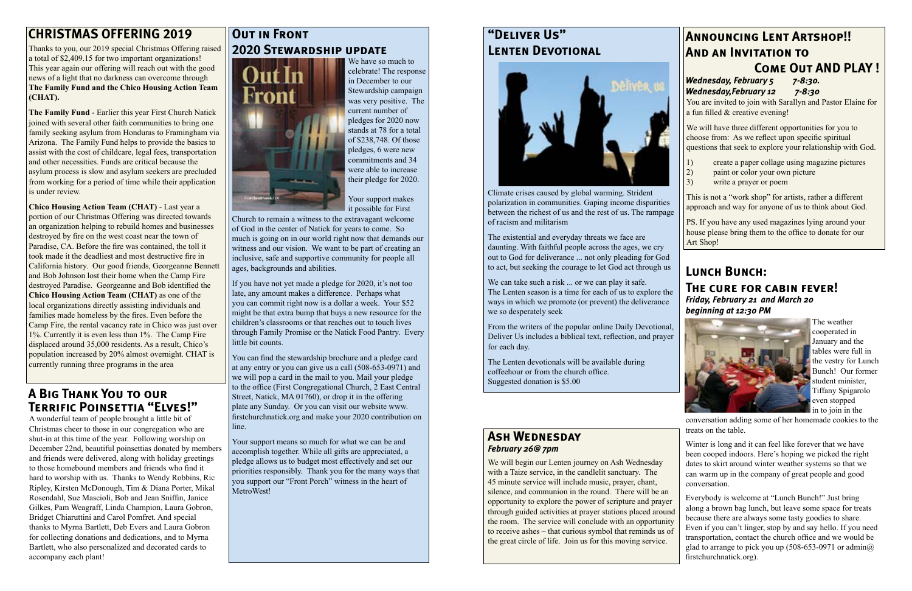### **"Deliver Us" Lenten Devotional**



Climate crises caused by global warming. Strident polarization in communities. Gaping income disparities between the richest of us and the rest of us. The rampage of racism and militarism

We can take such a risk ... or we can play it safe. The Lenten season is a time for each of us to explore the ways in which we promote (or prevent) the deliverance we so desperately seek

The existential and everyday threats we face are daunting. With faithful people across the ages, we cry out to God for deliverance ... not only pleading for God to act, but seeking the courage to let God act through us

From the writers of the popular online Daily Devotional, Deliver Us includes a biblical text, reflection, and prayer for each day.

The Lenten devotionals will be available during coffeehour or from the church office. Suggested donation is \$5.00

## **Announcing Lent Artshop!! And an Invitation to**

### **Come Out AND PLAY !**

#### *Wednesday, February 5 7-8:30. Wednesday,February 12 7-8:30*

You are invited to join with Sarallyn and Pastor Elaine for a fun filled & creative evening!

We will have three different opportunities for you to choose from: As we reflect upon specific spiritual questions that seek to explore your relationship with God.

- 1) create a paper collage using magazine pictures
- 2) paint or color your own picture
- 3) write a prayer or poem

This is not a "work shop" for artists, rather a different approach and way for anyone of us to think about God.

PS. If you have any used magazines lying around your house please bring them to the office to donate for our Art Shop!

### **Ash Wednesday** *February 26@ 7pm*

We will begin our Lenten journey on Ash Wednesday with a Taize service, in the candlelit sanctuary. The 45 minute service will include music, prayer, chant, silence, and communion in the round. There will be an opportunity to explore the power of scripture and prayer through guided activities at prayer stations placed around the room. The service will conclude with an opportunity to receive ashes – that curious symbol that reminds us of the great circle of life. Join us for this moving service.

### **OUT IN FRONT 2020 Stewardship update**



### **CHRISTMAS OFFERING 2019**

Thanks to you, our 2019 special Christmas Offering raised a total of \$2,409.15 for two important organizations! This year again our offering will reach out with the good news of a light that no darkness can overcome through **The Family Fund and the Chico Housing Action Team (CHAT).**

**The Family Fund** - Earlier this year First Church Natick joined with several other faith communities to bring one family seeking asylum from Honduras to Framingham via Arizona. The Family Fund helps to provide the basics to assist with the cost of childcare, legal fees, transportation and other necessities. Funds are critical because the asylum process is slow and asylum seekers are precluded from working for a period of time while their application is under review.

**Chico Housing Action Team (CHAT)** - Last year a portion of our Christmas Offering was directed towards an organization helping to rebuild homes and businesses destroyed by fire on the west coast near the town of Paradise, CA. Before the fire was contained, the toll it took made it the deadliest and most destructive fire in California history. Our good friends, Georgeanne Bennett and Bob Johnson lost their home when the Camp Fire destroyed Paradise. Georgeanne and Bob identified the **Chico Housing Action Team (CHAT)** as one of the local organizations directly assisting individuals and families made homeless by the fires. Even before the Camp Fire, the rental vacancy rate in Chico was just over 1%. Currently it is even less than 1%. The Camp Fire displaced around 35,000 residents. As a result, Chico's population increased by 20% almost overnight. CHAT is currently running three programs in the area

We have so much to celebrate! The response in December to our Stewardship campaign was very positive. The current number of pledges for 2020 now stands at 78 for a total of \$238,748. Of those pledges, 6 were new commitments and 34 were able to increase their pledge for 2020.

Your support makes it possible for First

Church to remain a witness to the extravagant welcome of God in the center of Natick for years to come. So much is going on in our world right now that demands our witness and our vision. We want to be part of creating an inclusive, safe and supportive community for people all ages, backgrounds and abilities.

If you have not yet made a pledge for 2020, it's not too late, any amount makes a difference. Perhaps what you can commit right now is a dollar a week. Your \$52 might be that extra bump that buys a new resource for the children's classrooms or that reaches out to touch lives through Family Promise or the Natick Food Pantry. Every little bit counts.

You can find the stewardship brochure and a pledge card at any entry or you can give us a call (508-653-0971) and we will pop a card in the mail to you. Mail your pledge to the office (First Congregational Church, 2 East Central Street, Natick, MA 01760), or drop it in the offering plate any Sunday. Or you can visit our website www. firstchurchnatick.org and make your 2020 contribution on line.

Your support means so much for what we can be and accomplish together. While all gifts are appreciated, a pledge allows us to budget most effectively and set our priorities responsibly. Thank you for the many ways that you support our "Front Porch" witness in the heart of MetroWest!

### **A Big Thank You to our Terrific Poinsettia "Elves!"**

A wonderful team of people brought a little bit of Christmas cheer to those in our congregation who are shut-in at this time of the year. Following worship on December 22nd, beautiful poinsettias donated by members and friends were delivered, along with holiday greetings to those homebound members and friends who find it hard to worship with us. Thanks to Wendy Robbins, Ric Ripley, Kirsten McDonough, Tim & Diana Porter, Mikal Rosendahl, Sue Mascioli, Bob and Jean Sniffin, Janice Gilkes, Pam Weagraff, Linda Champion, Laura Gobron, Bridget Chiaruttini and Carol Pomfret. And special thanks to Myrna Bartlett, Deb Evers and Laura Gobron for collecting donations and dedications, and to Myrna Bartlett, who also personalized and decorated cards to accompany each plant!

### **Lunch Bunch:**

### **The cure for cabin fever!**

*Friday, February 21 and March 20 beginning at 12:30 PM*



The weather cooperated in January and the tables were full in the vestry for Lunch Bunch! Our former student minister, Tiffany Spigarolo even stopped in to join in the

conversation adding some of her homemade cookies to the treats on the table.

Winter is long and it can feel like forever that we have been cooped indoors. Here's hoping we picked the right dates to skirt around winter weather systems so that we can warm up in the company of great people and good conversation.



Everybody is welcome at "Lunch Bunch!" Just bring along a brown bag lunch, but leave some space for treats because there are always some tasty goodies to share. Even if you can't linger, stop by and say hello. If you need transportation, contact the church office and we would be glad to arrange to pick you up  $(508-653-0971)$  or admin $@$ . firstchurchnatick.org).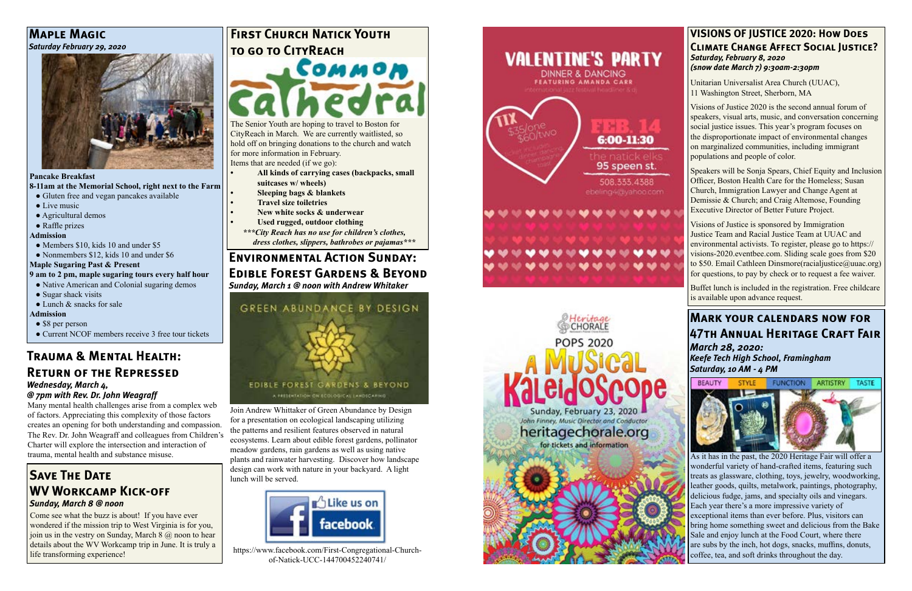## **Trauma & Mental Health: Return of the Repressed**

#### *Wednesday, March 4,*

#### *@ 7pm with Rev. Dr. John Weagraff*

Many mental health challenges arise from a complex web of factors. Appreciating this complexity of those factors creates an opening for both understanding and compassion. The Rev. Dr. John Weagraff and colleagues from Children's Charter will explore the intersection and interaction of trauma, mental health and substance misuse.

### **Environmental Action Sunday:**

### **Edible Forest Gardens & Beyond**

*Sunday, March 1 @ noon with Andrew Whitaker*



### **SAVE THE DATE WV Workcamp Kick-off** *Sunday, March 8 @ noon*

Join Andrew Whittaker of Green Abundance by Design for a presentation on ecological landscaping utilizing the patterns and resilient features observed in natural ecosystems. Learn about edible forest gardens, pollinator meadow gardens, rain gardens as well as using native plants and rainwater harvesting. Discover how landscape design can work with nature in your backyard. A light lunch will be served.

- Gluten free and vegan pancakes available
- Live music
- Agricultural demos
- Raffle prizes

## **FIRST CHURCH NATICK YOUTH to go to CityReach**



https://www.facebook.com/First-Congregational-Churchof-Natick-UCC-144700452240741/





**Соммою** The Senior Youth are hoping to travel to Boston for CityReach in March. We are currently waitlisted, so

Come see what the buzz is about! If you have ever wondered if the mission trip to West Virginia is for you, join us in the vestry on Sunday, March  $8$   $\omega$  noon to hear details about the WV Workcamp trip in June. It is truly a life transforming experience!

#### **Maple Magic** *Saturday February 29, 2020*



#### **Pancake Breakfast**

**8-11am at the Memorial School, right next to the Farm**

#### **Admission**

- Members \$10, kids 10 and under \$5
- Nonmembers \$12, kids 10 and under \$6

#### **Maple Sugaring Past & Present**

#### **9 am to 2 pm, maple sugaring tours every half hour**

• Native American and Colonial sugaring demos

- Sugar shack visits
- $\bullet$  Lunch & snacks for sale

#### **Admission**

- \$8 per person
- Current NCOF members receive 3 free tour tickets

hold off on bringing donations to the church and watch for more information in February.

Items that are needed (if we go):

- **• All kinds of carrying cases (backpacks, small suitcases w/ wheels)**
- **• Sleeping bags & blankets • Travel size toiletries • New white socks & underwear**
- 
- 
- **• Used rugged, outdoor clothing**
- *\*\*\*City Reach has no use for children's clothes, dress clothes, slippers, bathrobes or pajamas\*\*\**

## **Mark your calendars now for 47th Annual Heritage Craft Fair**

*March 28, 2020: Keefe Tech High School, Framingham Saturday, 10 AM - 4 PM*



As it has in the past, the 2020 Heritage Fair will offer a wonderful variety of hand-crafted items, featuring such treats as glassware, clothing, toys, jewelry, woodworking, leather goods, quilts, metalwork, paintings, photography, delicious fudge, jams, and specialty oils and vinegars. Each year there's a more impressive variety of exceptional items than ever before. Plus, visitors can bring home something sweet and delicious from the Bake Sale and enjoy lunch at the Food Court, where there are subs by the inch, hot dogs, snacks, muffins, donuts, coffee, tea, and soft drinks throughout the day.

#### **VISIONS OF JUSTICE 2020: How Does Climate Change Affect Social Justice?** *Saturday, February 8, 2020 (snow date March 7) 9:30am-2:30pm*

Unitarian Universalist Area Church (UUAC), 11 Washington Street, Sherborn, MA

Visions of Justice 2020 is the second annual forum of speakers, visual arts, music, and conversation concerning social justice issues. This year's program focuses on the disproportionate impact of environmental changes on marginalized communities, including immigrant populations and people of color.

Speakers will be Sonja Spears, Chief Equity and Inclusion Officer, Boston Health Care for the Homeless; Susan Church, Immigration Lawyer and Change Agent at Demissie & Church; and Craig Altemose, Founding Executive Director of Better Future Project.

Visions of Justice is sponsored by Immigration Justice Team and Racial Justice Team at UUAC and environmental activists. To register, please go to https:// visions-2020.eventbee.com. Sliding scale goes from \$20 to \$50. Email Cathleen Dinsmore(racialjustice@uuac.org) for questions, to pay by check or to request a fee waiver.

Buffet lunch is included in the registration. Free childcare is available upon advance request.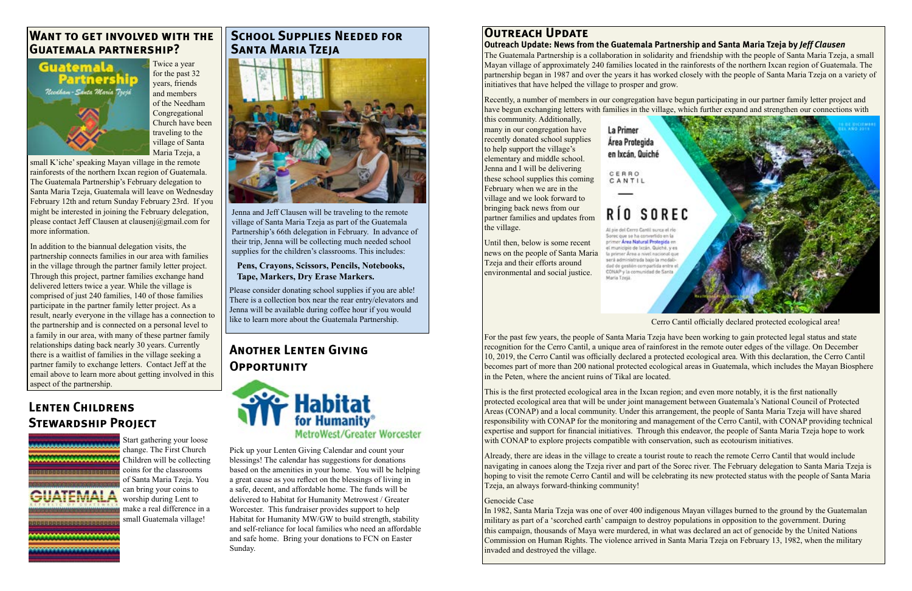### **Another Lenten Giving Opportunity**



Pick up your Lenten Giving Calendar and count your blessings! The calendar has suggestions for donations based on the amenities in your home. You will be helping a great cause as you reflect on the blessings of living in a safe, decent, and affordable home. The funds will be delivered to Habitat for Humanity Metrowest / Greater Worcester. This fundraiser provides support to help Habitat for Humanity MW/GW to build strength, stability and self-reliance for local families who need an affordable and safe home. Bring your donations to FCN on Easter Sunday.

### **Want to get involved with the Guatemala partnership?**



Twice a year for the past 32 years, friends and members of the Needham Congregational Church have been traveling to the village of Santa Maria Tzeja, a

small K'iche' speaking Mayan village in the remote rainforests of the northern Ixcan region of Guatemala. The Guatemala Partnership's February delegation to Santa Maria Tzeja, Guatemala will leave on Wednesday February 12th and return Sunday February 23rd. If you might be interested in joining the February delegation, please contact Jeff Clausen at clausenj@gmail.com for more information.

Jenna and Jeff Clausen will be traveling to the remote village of Santa Maria Tzeja as part of the Guatemala Partnership's 66th delegation in February. In advance of their trip, Jenna will be collecting much needed school supplies for the children's classrooms. This includes:

In addition to the biannual delegation visits, the partnership connects families in our area with families in the village through the partner family letter project. Through this project, partner families exchange hand delivered letters twice a year. While the village is comprised of just 240 families, 140 of those families participate in the partner family letter project. As a result, nearly everyone in the village has a connection to the partnership and is connected on a personal level to a family in our area, with many of these partner family relationships dating back nearly 30 years. Currently there is a waitlist of families in the village seeking a partner family to exchange letters. Contact Jeff at the email above to learn more about getting involved in this aspect of the partnership.

### **School Supplies Needed for Santa Maria Tzeja**



This is the first protected ecological area in the Ixcan region; and even more notably, it is the first nationally protected ecological area that will be under joint management between Guatemala's National Council of Protected Areas (CONAP) and a local community. Under this arrangement, the people of Santa Maria Tzeja will have shared responsibility with CONAP for the monitoring and management of the Cerro Cantil, with CONAP providing technical expertise and support for financial initiatives. Through this endeavor, the people of Santa Maria Tzeja hope to work with CONAP to explore projects compatible with conservation, such as ecotourism initiatives.

Please consider donating school supplies if you are able! There is a collection box near the rear entry/elevators and Jenna will be available during coffee hour if you would like to learn more about the Guatemala Partnership.

#### **Pens, Crayons, Scissors, Pencils, Notebooks, Tape, Markers, Dry Erase Markers.**

### **Outreach Update**

**Outreach Update: News from the Guatemala Partnership and Santa Maria Tzeja by** *Jeff Clausen* The Guatemala Partnership is a collaboration in solidarity and friendship with the people of Santa Maria Tzeja, a small Mayan village of approximately 240 families located in the rainforests of the northern Ixcan region of Guatemala. The partnership began in 1987 and over the years it has worked closely with the people of Santa Maria Tzeja on a variety of initiatives that have helped the village to prosper and grow.

Recently, a number of members in our congregation have begun participating in our partner family letter project and have begun exchanging letters with families in the village, which further expand and strengthen our connections with

this community. Additionally, many in our congregation have recently donated school supplies to help support the village's elementary and middle school. Jenna and I will be delivering these school supplies this coming February when we are in the village and we look forward to bringing back news from our partner families and updates from the village.

Until then, below is some recent news on the people of Santa Maria Tzeja and their efforts around environmental and social justice.

#### La Primer Área Protegida en Ixcán. Quiché

CERRO CANTIL

# RÍO SOREC

Al pie del Cerro Cantil surca el rio Sorec que se ha convertido en la primer Area Natural Protegida en el municipio de Ixcán. Quiché, y es la primer Area a nivel nacional que será administrada bajo la modalidad de gestión compartida entre el CONAP y la comunidad de Santa María Tzejá.



Cerro Cantil officially declared protected ecological area!

For the past few years, the people of Santa Maria Tzeja have been working to gain protected legal status and state recognition for the Cerro Cantil, a unique area of rainforest in the remote outer edges of the village. On December 10, 2019, the Cerro Cantil was officially declared a protected ecological area. With this declaration, the Cerro Cantil becomes part of more than 200 national protected ecological areas in Guatemala, which includes the Mayan Biosphere in the Peten, where the ancient ruins of Tikal are located.

Already, there are ideas in the village to create a tourist route to reach the remote Cerro Cantil that would include navigating in canoes along the Tzeja river and part of the Sorec river. The February delegation to Santa Maria Tzeja is hoping to visit the remote Cerro Cantil and will be celebrating its new protected status with the people of Santa Maria Tzeja, an always forward-thinking community!

#### Genocide Case

In 1982, Santa Maria Tzeja was one of over 400 indigenous Mayan villages burned to the ground by the Guatemalan military as part of a 'scorched earth' campaign to destroy populations in opposition to the government. During this campaign, thousands of Maya were murdered, in what was declared an act of genocide by the United Nations Commission on Human Rights. The violence arrived in Santa Maria Tzeja on February 13, 1982, when the military invaded and destroyed the village.

### **Lenten Childrens Stewardship Project**



Start gathering your loose change. The First Church Children will be collecting coins for the classrooms of Santa Maria Tzeja. You can bring your coins to worship during Lent to make a real difference in a small Guatemala village!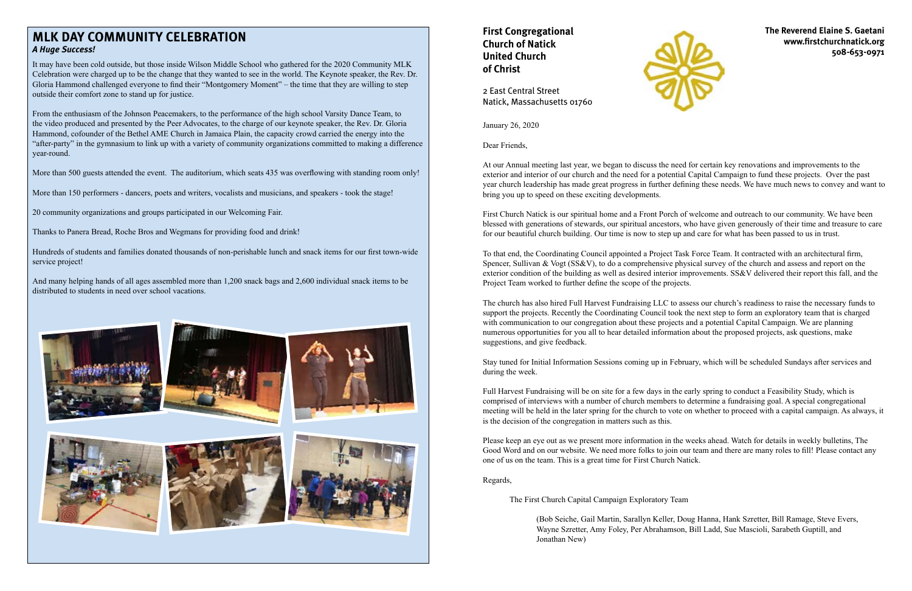January 26, 2020

Dear Friends,

At our Annual meeting last year, we began to discuss the need for certain key renovations and improvements to the exterior and interior of our church and the need for a potential Capital Campaign to fund these projects. Over the past year church leadership has made great progress in further defining these needs. We have much news to convey and want to bring you up to speed on these exciting developments.

First Church Natick is our spiritual home and a Front Porch of welcome and outreach to our community. We have been blessed with generations of stewards, our spiritual ancestors, who have given generously of their time and treasure to care for our beautiful church building. Our time is now to step up and care for what has been passed to us in trust.

To that end, the Coordinating Council appointed a Project Task Force Team. It contracted with an architectural firm, Spencer, Sullivan & Vogt (SS&V), to do a comprehensive physical survey of the church and assess and report on the exterior condition of the building as well as desired interior improvements. SS&V delivered their report this fall, and the Project Team worked to further define the scope of the projects.

The church has also hired Full Harvest Fundraising LLC to assess our church's readiness to raise the necessary funds to support the projects. Recently the Coordinating Council took the next step to form an exploratory team that is charged with communication to our congregation about these projects and a potential Capital Campaign. We are planning numerous opportunities for you all to hear detailed information about the proposed projects, ask questions, make suggestions, and give feedback.

Stay tuned for Initial Information Sessions coming up in February, which will be scheduled Sundays after services and during the week.

Full Harvest Fundraising will be on site for a few days in the early spring to conduct a Feasibility Study, which is comprised of interviews with a number of church members to determine a fundraising goal. A special congregational meeting will be held in the later spring for the church to vote on whether to proceed with a capital campaign. As always, it is the decision of the congregation in matters such as this.

Please keep an eye out as we present more information in the weeks ahead. Watch for details in weekly bulletins, The Good Word and on our website. We need more folks to join our team and there are many roles to fill! Please contact any one of us on the team. This is a great time for First Church Natick.

Regards,

The First Church Capital Campaign Exploratory Team

(Bob Seiche, Gail Martin, Sarallyn Keller, Doug Hanna, Hank Szretter, Bill Ramage, Steve Evers, Wayne Szretter, Amy Foley, Per Abrahamson, Bill Ladd, Sue Mascioli, Sarabeth Guptill, and Jonathan New)

### **MLK DAY COMMUNITY CELEBRATION** *A Huge Success!*

It may have been cold outside, but those inside Wilson Middle School who gathered for the 2020 Community MLK Celebration were charged up to be the change that they wanted to see in the world. The Keynote speaker, the Rev. Dr. Gloria Hammond challenged everyone to find their "Montgomery Moment" – the time that they are willing to step outside their comfort zone to stand up for justice.

From the enthusiasm of the Johnson Peacemakers, to the performance of the high school Varsity Dance Team, to the video produced and presented by the Peer Advocates, to the charge of our keynote speaker, the Rev. Dr. Gloria Hammond, cofounder of the Bethel AME Church in Jamaica Plain, the capacity crowd carried the energy into the "after-party" in the gymnasium to link up with a variety of community organizations committed to making a difference year-round.

More than 500 guests attended the event. The auditorium, which seats 435 was overflowing with standing room only!

More than 150 performers - dancers, poets and writers, vocalists and musicians, and speakers - took the stage!

20 community organizations and groups participated in our Welcoming Fair.

Thanks to Panera Bread, Roche Bros and Wegmans for providing food and drink!

Hundreds of students and families donated thousands of non-perishable lunch and snack items for our first town-wide service project!

And many helping hands of all ages assembled more than 1,200 snack bags and 2,600 individual snack items to be distributed to students in need over school vacations.













### **First Congregational Church of Natick United Church of Christ**



2 East Central Street Natick, Massachusetts 01760